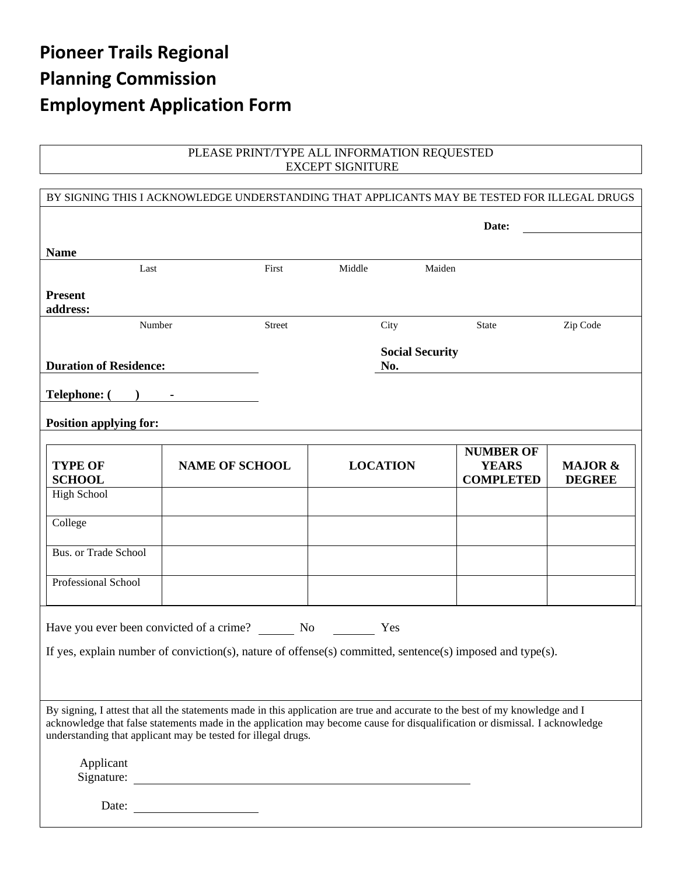# **Pioneer Trails Regional Planning Commission Employment Application Form**

#### PLEASE PRINT/TYPE ALL INFORMATION REQUESTED EXCEPT SIGNITURE

| BY SIGNING THIS I ACKNOWLEDGE UNDERSTANDING THAT APPLICANTS MAY BE TESTED FOR ILLEGAL DRUGS                                                                                                                                                                                                                                   |                       |        |                               |                 |                                                      |                                     |
|-------------------------------------------------------------------------------------------------------------------------------------------------------------------------------------------------------------------------------------------------------------------------------------------------------------------------------|-----------------------|--------|-------------------------------|-----------------|------------------------------------------------------|-------------------------------------|
|                                                                                                                                                                                                                                                                                                                               |                       |        |                               |                 | Date:                                                |                                     |
| <b>Name</b>                                                                                                                                                                                                                                                                                                                   |                       |        |                               |                 |                                                      |                                     |
| Last                                                                                                                                                                                                                                                                                                                          |                       | First  | Middle                        |                 | Maiden                                               |                                     |
| <b>Present</b><br>address:                                                                                                                                                                                                                                                                                                    |                       |        |                               |                 |                                                      |                                     |
| Number                                                                                                                                                                                                                                                                                                                        |                       | Street |                               | City            | State                                                | Zip Code                            |
| <b>Duration of Residence:</b>                                                                                                                                                                                                                                                                                                 |                       |        | <b>Social Security</b><br>No. |                 |                                                      |                                     |
| <b>Telephone:</b> (                                                                                                                                                                                                                                                                                                           |                       |        |                               |                 |                                                      |                                     |
|                                                                                                                                                                                                                                                                                                                               |                       |        |                               |                 |                                                      |                                     |
| <b>Position applying for:</b>                                                                                                                                                                                                                                                                                                 |                       |        |                               |                 |                                                      |                                     |
| <b>TYPE OF</b><br><b>SCHOOL</b>                                                                                                                                                                                                                                                                                               | <b>NAME OF SCHOOL</b> |        |                               | <b>LOCATION</b> | <b>NUMBER OF</b><br><b>YEARS</b><br><b>COMPLETED</b> | <b>MAJOR &amp;</b><br><b>DEGREE</b> |
| <b>High School</b>                                                                                                                                                                                                                                                                                                            |                       |        |                               |                 |                                                      |                                     |
| College                                                                                                                                                                                                                                                                                                                       |                       |        |                               |                 |                                                      |                                     |
| Bus. or Trade School                                                                                                                                                                                                                                                                                                          |                       |        |                               |                 |                                                      |                                     |
| Professional School                                                                                                                                                                                                                                                                                                           |                       |        |                               |                 |                                                      |                                     |
| Have you ever been convicted of a crime? No No<br>Yes                                                                                                                                                                                                                                                                         |                       |        |                               |                 |                                                      |                                     |
| If yes, explain number of conviction(s), nature of offense(s) committed, sentence(s) imposed and type(s).                                                                                                                                                                                                                     |                       |        |                               |                 |                                                      |                                     |
|                                                                                                                                                                                                                                                                                                                               |                       |        |                               |                 |                                                      |                                     |
| By signing, I attest that all the statements made in this application are true and accurate to the best of my knowledge and I<br>acknowledge that false statements made in the application may become cause for disqualification or dismissal. I acknowledge<br>understanding that applicant may be tested for illegal drugs. |                       |        |                               |                 |                                                      |                                     |
| Applicant<br>Signature:                                                                                                                                                                                                                                                                                                       |                       |        |                               |                 |                                                      |                                     |
| Date:                                                                                                                                                                                                                                                                                                                         |                       |        |                               |                 |                                                      |                                     |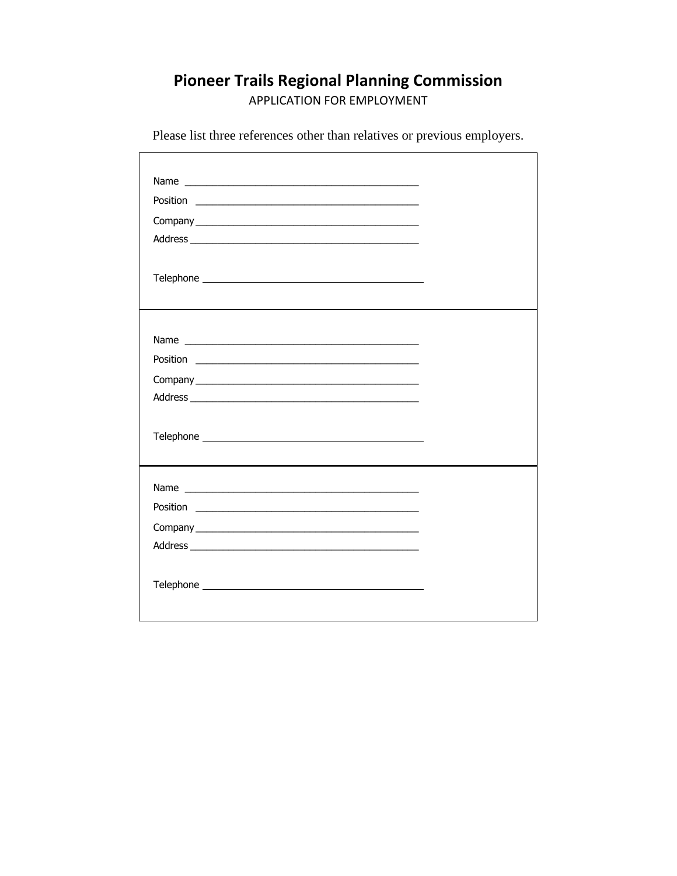### **Pioneer Trails Regional Planning Commission**

APPLICATION FOR EMPLOYMENT

Please list three references other than relatives or previous employers.

 $\Gamma$ 

| Address experience and the contract of the contract of the contract of the contract of the contract of the contract of the contract of the contract of the contract of the contract of the contract of the contract of the con |  |
|--------------------------------------------------------------------------------------------------------------------------------------------------------------------------------------------------------------------------------|--|
|                                                                                                                                                                                                                                |  |
|                                                                                                                                                                                                                                |  |
|                                                                                                                                                                                                                                |  |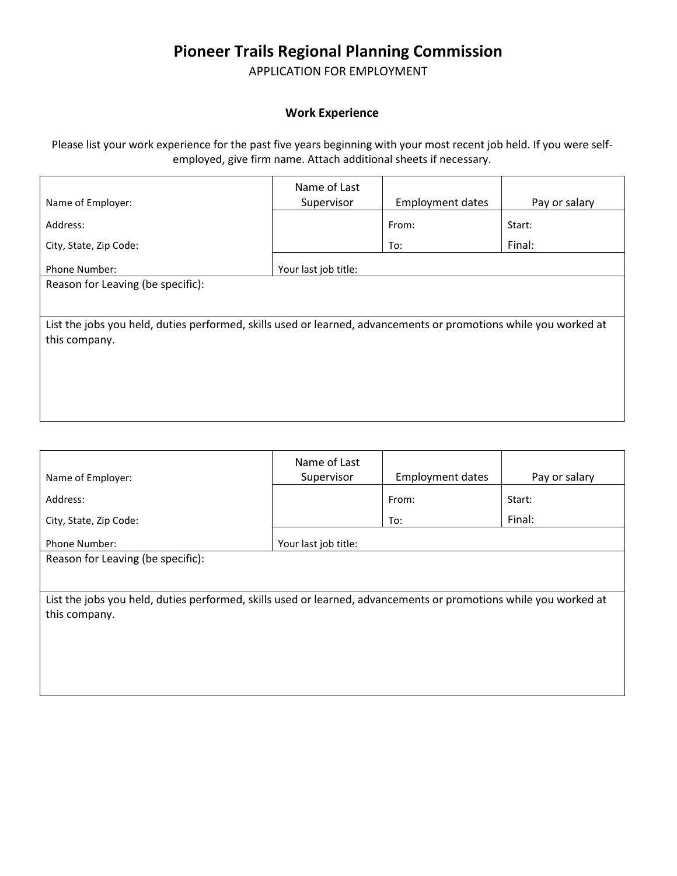### **Pioneer Trails Regional Planning Commission**

APPLICATION FOR EMPLOYMENT

#### **Work Experience**

Please list your work experience for the past five years beginning with your most recent job held. If you were selfemployed, give firm name. Attach additional sheets if necessary.

|                                                                                                                  | Name of Last         |                         |               |  |
|------------------------------------------------------------------------------------------------------------------|----------------------|-------------------------|---------------|--|
| Name of Employer:                                                                                                | Supervisor           | <b>Employment dates</b> | Pay or salary |  |
| Address:                                                                                                         |                      | From:                   | Start:        |  |
| City, State, Zip Code:                                                                                           |                      | To:                     | Final:        |  |
| Phone Number:                                                                                                    | Your last job title: |                         |               |  |
| Reason for Leaving (be specific):                                                                                |                      |                         |               |  |
|                                                                                                                  |                      |                         |               |  |
| List the jobs you held, duties performed, skills used or learned, advancements or promotions while you worked at |                      |                         |               |  |
| this company.                                                                                                    |                      |                         |               |  |
|                                                                                                                  |                      |                         |               |  |
|                                                                                                                  |                      |                         |               |  |
|                                                                                                                  |                      |                         |               |  |
|                                                                                                                  |                      |                         |               |  |

| Name of Employer:                                                                                                | Name of Last<br>Supervisor | <b>Employment dates</b> | Pay or salary |  |
|------------------------------------------------------------------------------------------------------------------|----------------------------|-------------------------|---------------|--|
| Address:                                                                                                         |                            | From:                   | Start:        |  |
| City, State, Zip Code:                                                                                           |                            | To:                     | Final:        |  |
| Phone Number:                                                                                                    | Your last job title:       |                         |               |  |
| Reason for Leaving (be specific):                                                                                |                            |                         |               |  |
|                                                                                                                  |                            |                         |               |  |
| List the jobs you held, duties performed, skills used or learned, advancements or promotions while you worked at |                            |                         |               |  |
| this company.                                                                                                    |                            |                         |               |  |
|                                                                                                                  |                            |                         |               |  |
|                                                                                                                  |                            |                         |               |  |
|                                                                                                                  |                            |                         |               |  |